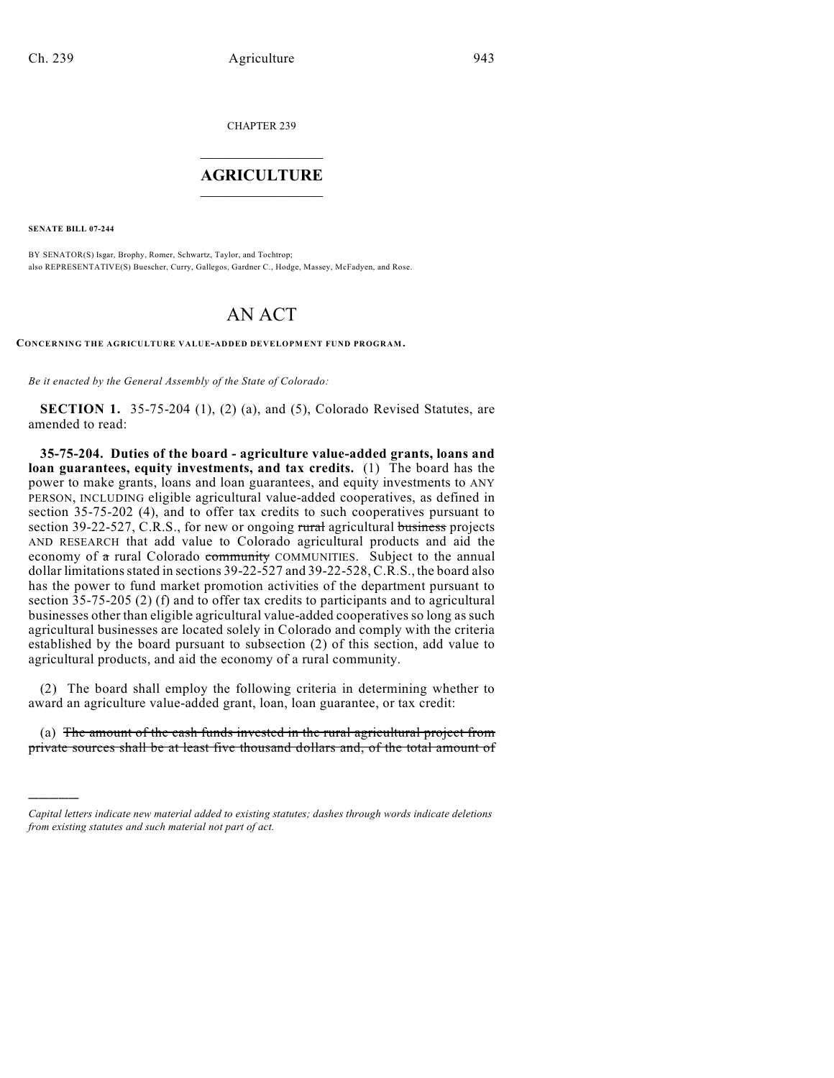CHAPTER 239

## $\mathcal{L}_\text{max}$  . The set of the set of the set of the set of the set of the set of the set of the set of the set of the set of the set of the set of the set of the set of the set of the set of the set of the set of the set **AGRICULTURE**  $\_$   $\_$   $\_$   $\_$   $\_$   $\_$   $\_$   $\_$

**SENATE BILL 07-244**

)))))

BY SENATOR(S) Isgar, Brophy, Romer, Schwartz, Taylor, and Tochtrop; also REPRESENTATIVE(S) Buescher, Curry, Gallegos, Gardner C., Hodge, Massey, McFadyen, and Rose.

## AN ACT

**CONCERNING THE AGRICULTURE VALUE-ADDED DEVELOPMENT FUND PROGRAM.**

*Be it enacted by the General Assembly of the State of Colorado:*

**SECTION 1.** 35-75-204 (1), (2) (a), and (5), Colorado Revised Statutes, are amended to read:

**35-75-204. Duties of the board - agriculture value-added grants, loans and loan guarantees, equity investments, and tax credits.** (1) The board has the power to make grants, loans and loan guarantees, and equity investments to ANY PERSON, INCLUDING eligible agricultural value-added cooperatives, as defined in section 35-75-202 (4), and to offer tax credits to such cooperatives pursuant to section 39-22-527, C.R.S., for new or ongoing rural agricultural business projects AND RESEARCH that add value to Colorado agricultural products and aid the economy of a rural Colorado community COMMUNITIES. Subject to the annual dollar limitations stated in sections 39-22-527 and 39-22-528, C.R.S., the board also has the power to fund market promotion activities of the department pursuant to section 35-75-205 (2) (f) and to offer tax credits to participants and to agricultural businesses other than eligible agricultural value-added cooperatives so long as such agricultural businesses are located solely in Colorado and comply with the criteria established by the board pursuant to subsection (2) of this section, add value to agricultural products, and aid the economy of a rural community.

(2) The board shall employ the following criteria in determining whether to award an agriculture value-added grant, loan, loan guarantee, or tax credit:

(a) The amount of the cash funds invested in the rural agricultural project from private sources shall be at least five thousand dollars and, of the total amount of

*Capital letters indicate new material added to existing statutes; dashes through words indicate deletions from existing statutes and such material not part of act.*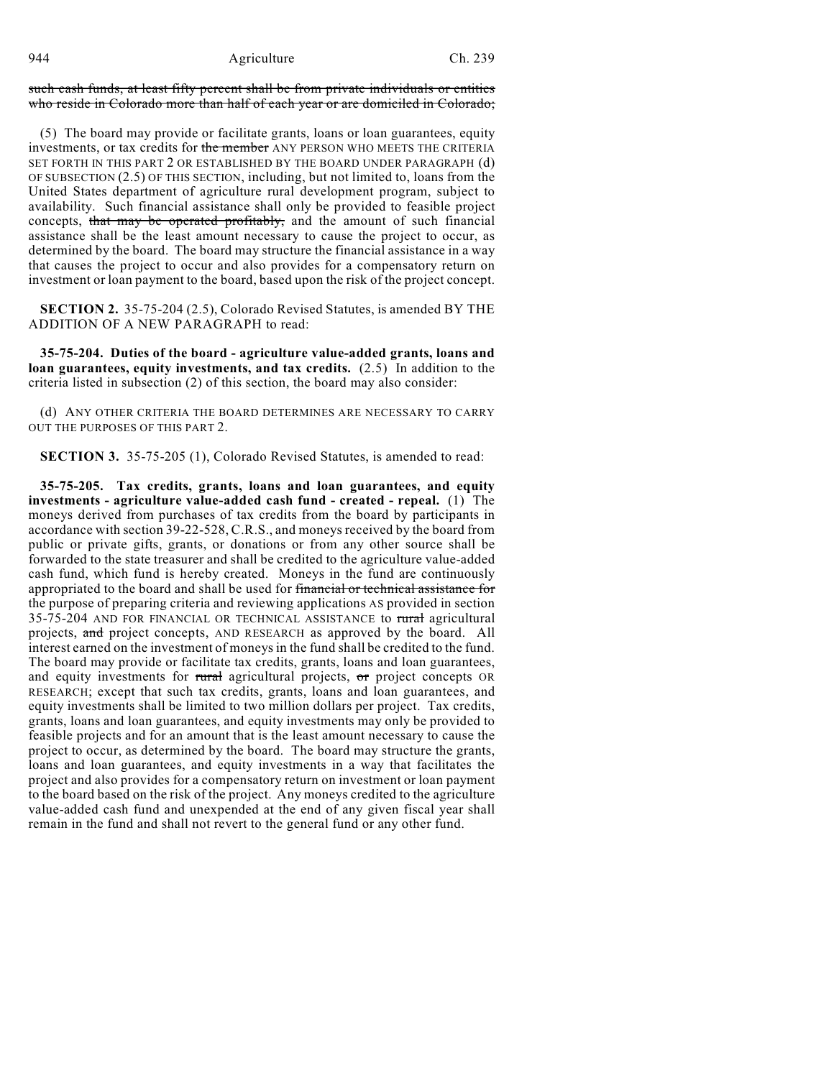944 Agriculture Ch. 239

such cash funds, at least fifty percent shall be from private individuals or entities who reside in Colorado more than half of each year or are domiciled in Colorado;

(5) The board may provide or facilitate grants, loans or loan guarantees, equity investments, or tax credits for the member ANY PERSON WHO MEETS THE CRITERIA SET FORTH IN THIS PART 2 OR ESTABLISHED BY THE BOARD UNDER PARAGRAPH (d) OF SUBSECTION (2.5) OF THIS SECTION, including, but not limited to, loans from the United States department of agriculture rural development program, subject to availability. Such financial assistance shall only be provided to feasible project concepts, that may be operated profitably, and the amount of such financial assistance shall be the least amount necessary to cause the project to occur, as determined by the board. The board may structure the financial assistance in a way that causes the project to occur and also provides for a compensatory return on investment or loan payment to the board, based upon the risk of the project concept.

**SECTION 2.** 35-75-204 (2.5), Colorado Revised Statutes, is amended BY THE ADDITION OF A NEW PARAGRAPH to read:

**35-75-204. Duties of the board - agriculture value-added grants, loans and loan guarantees, equity investments, and tax credits.** (2.5) In addition to the criteria listed in subsection (2) of this section, the board may also consider:

(d) ANY OTHER CRITERIA THE BOARD DETERMINES ARE NECESSARY TO CARRY OUT THE PURPOSES OF THIS PART 2.

**SECTION 3.** 35-75-205 (1), Colorado Revised Statutes, is amended to read:

**35-75-205. Tax credits, grants, loans and loan guarantees, and equity investments - agriculture value-added cash fund - created - repeal.** (1) The moneys derived from purchases of tax credits from the board by participants in accordance with section 39-22-528, C.R.S., and moneys received by the board from public or private gifts, grants, or donations or from any other source shall be forwarded to the state treasurer and shall be credited to the agriculture value-added cash fund, which fund is hereby created. Moneys in the fund are continuously appropriated to the board and shall be used for financial or technical assistance for the purpose of preparing criteria and reviewing applications AS provided in section 35-75-204 AND FOR FINANCIAL OR TECHNICAL ASSISTANCE to rural agricultural projects, and project concepts, AND RESEARCH as approved by the board. All interest earned on the investment of moneys in the fund shall be credited to the fund. The board may provide or facilitate tax credits, grants, loans and loan guarantees, and equity investments for rural agricultural projects, or project concepts OR RESEARCH; except that such tax credits, grants, loans and loan guarantees, and equity investments shall be limited to two million dollars per project. Tax credits, grants, loans and loan guarantees, and equity investments may only be provided to feasible projects and for an amount that is the least amount necessary to cause the project to occur, as determined by the board. The board may structure the grants, loans and loan guarantees, and equity investments in a way that facilitates the project and also provides for a compensatory return on investment or loan payment to the board based on the risk of the project. Any moneys credited to the agriculture value-added cash fund and unexpended at the end of any given fiscal year shall remain in the fund and shall not revert to the general fund or any other fund.